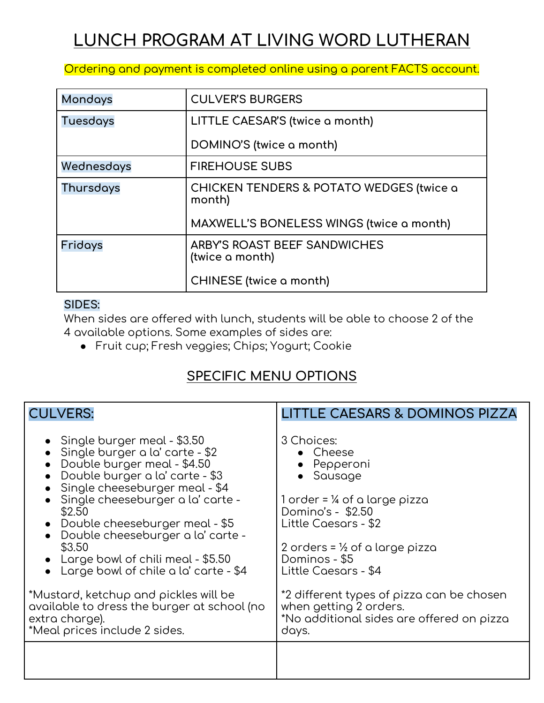## **LUNCH PROGRAM AT LIVING WORD LUTHERAN**

Ordering and payment is completed online using a parent FACTS account.

| <b>Mondays</b>  | <b>CULVER'S BURGERS</b>                                       |  |
|-----------------|---------------------------------------------------------------|--|
| <b>Tuesdays</b> | LITTLE CAESAR'S (twice a month)                               |  |
|                 | DOMINO'S (twice a month)                                      |  |
| Wednesdays      | <b>FIREHOUSE SUBS</b>                                         |  |
| Thursdays       | <b>CHICKEN TENDERS &amp; POTATO WEDGES (twice a</b><br>month) |  |
|                 | MAXWELL'S BONELESS WINGS (twice a month)                      |  |
| Fridays         | ARBY'S ROAST BEEF SANDWICHES<br>(twice a month)               |  |
|                 | <b>CHINESE</b> (twice a month)                                |  |

## **SIDES:**

When sides are offered with lunch, students will be able to choose 2 of the 4 available options. Some examples of sides are:

● Fruit cup; Fresh veggies; Chips; Yogurt; Cookie

## **SPECIFIC MENU OPTIONS**

| <b>CULVERS:</b>                                                                                                                                                                                                                                                                                                                                                                                                                                                                                                | <b>LITTLE CAESARS &amp; DOMINOS PIZZA</b>                                                                                                                                                                                                                                                                                                       |
|----------------------------------------------------------------------------------------------------------------------------------------------------------------------------------------------------------------------------------------------------------------------------------------------------------------------------------------------------------------------------------------------------------------------------------------------------------------------------------------------------------------|-------------------------------------------------------------------------------------------------------------------------------------------------------------------------------------------------------------------------------------------------------------------------------------------------------------------------------------------------|
| • Single burger meal - $$3.50$<br>• Single burger a la' carte - \$2<br>• Double burger meal - \$4.50<br>• Double burger a la' carte - \$3<br>• Single cheeseburger meal - \$4<br>· Single cheeseburger a la' carte -<br>\$2.50<br>• Double cheeseburger meal - \$5<br>• Double cheeseburger a la' carte -<br>\$3.50<br>• Large bowl of chili meal - $$5.50$<br>Large bowl of chile a la' carte - \$4<br>*Mustard, ketchup and pickles will be<br>available to dress the burger at school (no<br>extra charge). | 3 Choices:<br>• Cheese<br>$\bullet$ Pepperoni<br>Sausage<br>1 order = ¼ of a large pizza<br>Domino's - \$2.50<br>Little Caesars - \$2<br>2 orders = $\frac{1}{2}$ of a large pizza<br>Dominos - \$5<br>Little Caesars - \$4<br>*2 different types of pizza can be chosen<br>when getting 2 orders.<br>*No additional sides are offered on pizza |
| *Meal prices include 2 sides.                                                                                                                                                                                                                                                                                                                                                                                                                                                                                  | days.                                                                                                                                                                                                                                                                                                                                           |
|                                                                                                                                                                                                                                                                                                                                                                                                                                                                                                                |                                                                                                                                                                                                                                                                                                                                                 |